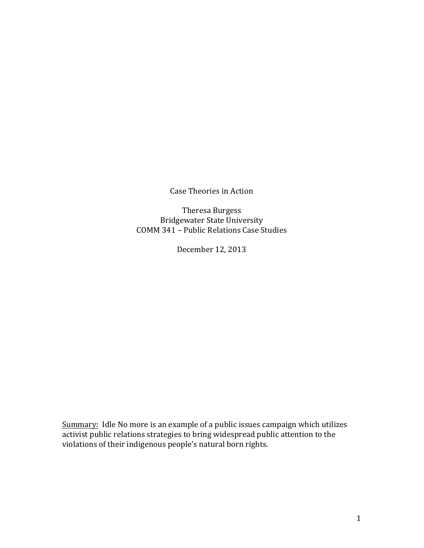Case Theories in Action

Theresa Burgess **Bridgewater State University** COMM 341 – Public Relations Case Studies

December 12, 2013

Summary: Idle No more is an example of a public issues campaign which utilizes activist public relations strategies to bring widespread public attention to the violations of their indigenous people's natural born rights.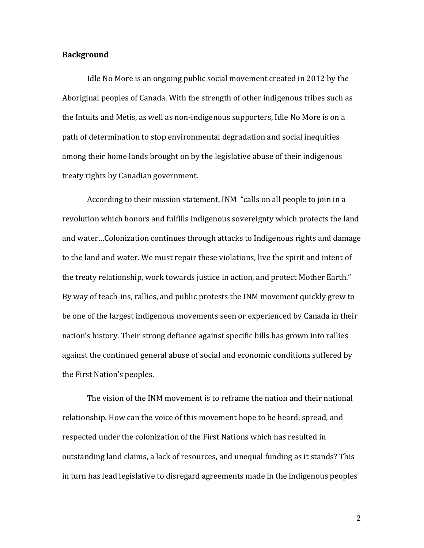## **Background**

Idle No More is an ongoing public social movement created in 2012 by the Aboriginal peoples of Canada. With the strength of other indigenous tribes such as the Intuits and Metis, as well as non-indigenous supporters, Idle No More is on a path of determination to stop environmental degradation and social inequities among their home lands brought on by the legislative abuse of their indigenous treaty rights by Canadian government.

According to their mission statement, INM "calls on all people to join in a revolution which honors and fulfills Indigenous sovereignty which protects the land and water...Colonization continues through attacks to Indigenous rights and damage to the land and water. We must repair these violations, live the spirit and intent of the treaty relationship, work towards justice in action, and protect Mother Earth." By way of teach-ins, rallies, and public protests the INM movement quickly grew to be one of the largest indigenous movements seen or experienced by Canada in their nation's history. Their strong defiance against specific bills has grown into rallies against the continued general abuse of social and economic conditions suffered by the First Nation's peoples.

The vision of the INM movement is to reframe the nation and their national relationship. How can the voice of this movement hope to be heard, spread, and respected under the colonization of the First Nations which has resulted in outstanding land claims, a lack of resources, and unequal funding as it stands? This in turn has lead legislative to disregard agreements made in the indigenous peoples

2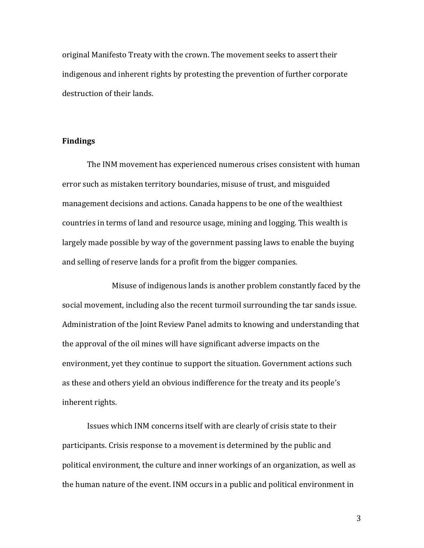original Manifesto Treaty with the crown. The movement seeks to assert their indigenous and inherent rights by protesting the prevention of further corporate destruction of their lands.

## **Findings**

The INM movement has experienced numerous crises consistent with human error such as mistaken territory boundaries, misuse of trust, and misguided management decisions and actions. Canada happens to be one of the wealthiest countries in terms of land and resource usage, mining and logging. This wealth is largely made possible by way of the government passing laws to enable the buying and selling of reserve lands for a profit from the bigger companies.

Misuse of indigenous lands is another problem constantly faced by the social movement, including also the recent turmoil surrounding the tar sands issue. Administration of the Joint Review Panel admits to knowing and understanding that the approval of the oil mines will have significant adverse impacts on the environment, yet they continue to support the situation. Government actions such as these and others yield an obvious indifference for the treaty and its people's inherent rights.

Issues which INM concerns itself with are clearly of crisis state to their participants. Crisis response to a movement is determined by the public and political environment, the culture and inner workings of an organization, as well as the human nature of the event. INM occurs in a public and political environment in

3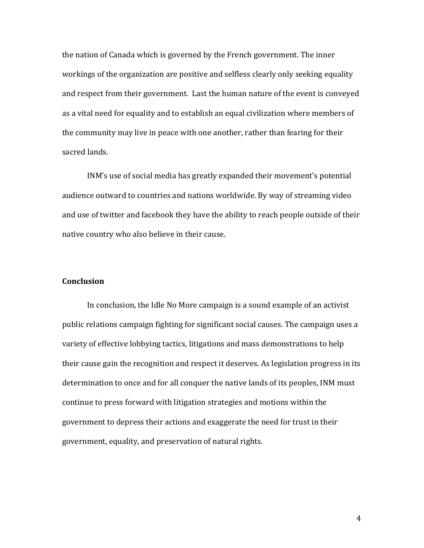the nation of Canada which is governed by the French government. The inner workings of the organization are positive and selfless clearly only seeking equality and respect from their government. Last the human nature of the event is conveyed as a vital need for equality and to establish an equal civilization where members of the community may live in peace with one another, rather than fearing for their sacred lands.

INM's use of social media has greatly expanded their movement's potential audience outward to countries and nations worldwide. By way of streaming video and use of twitter and facebook they have the ability to reach people outside of their native country who also believe in their cause.

## **Conclusion**

In conclusion, the Idle No More campaign is a sound example of an activist public relations campaign fighting for significant social causes. The campaign uses a variety of effective lobbying tactics, litigations and mass demonstrations to help their cause gain the recognition and respect it deserves. As legislation progress in its determination to once and for all conquer the native lands of its peoples, INM must continue to press forward with litigation strategies and motions within the government to depress their actions and exaggerate the need for trust in their government, equality, and preservation of natural rights.

4